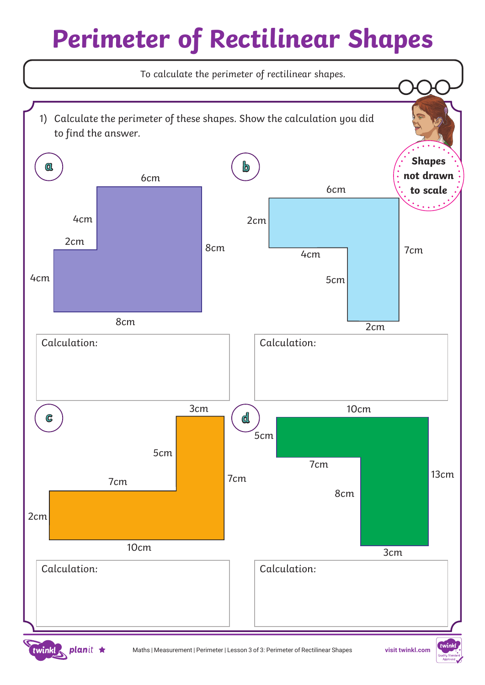# *Perimeter of Rectilinear Shapes*



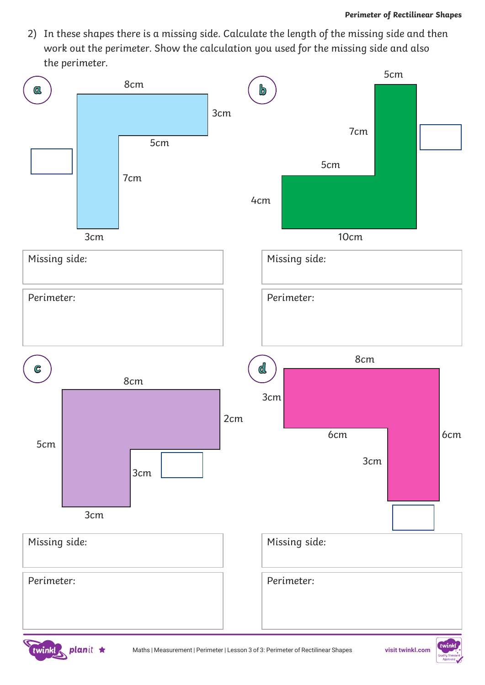*2) In these shapes there is a missing side. Calculate the length of the missing side and then work out the perimeter. Show the calculation you used for the missing side and also the perimeter.*



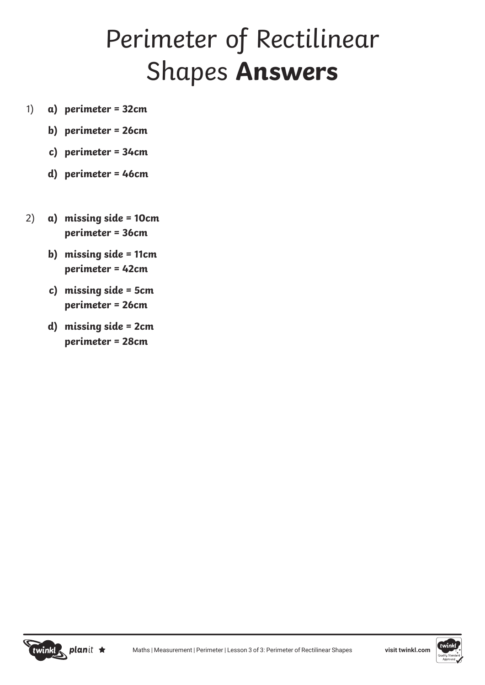### *Perimeter of Rectilinear Shapes Answers*

- *a) perimeter = 32cm 1)*
	- *b) perimeter = 26cm*
	- *c) perimeter = 34cm*
	- *d) perimeter = 46cm*
- *2) a) missing side = 10cm perimeter = 36cm*
	- *b) missing side = 11cm perimeter = 42cm*
	- *c) missing side = 5cm perimeter = 26cm*
	- *d) missing side = 2cm perimeter = 28cm*



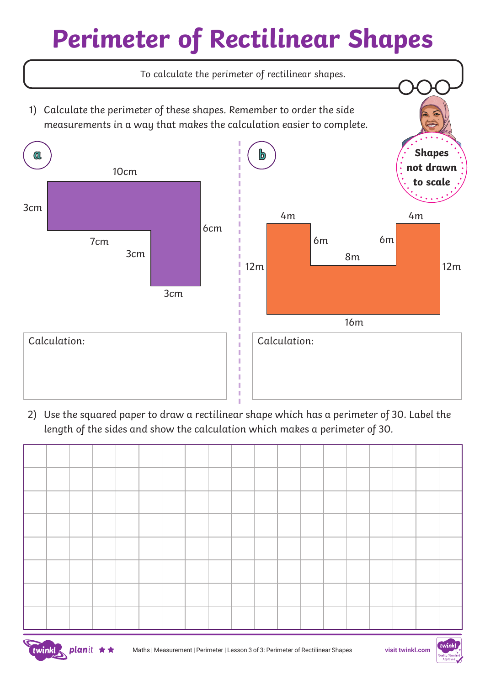# *Perimeter of Rectilinear Shapes*



*2) Use the squared paper to draw a rectilinear shape which has a perimeter of 30. Label the length of the sides and show the calculation which makes a perimeter of 30.*





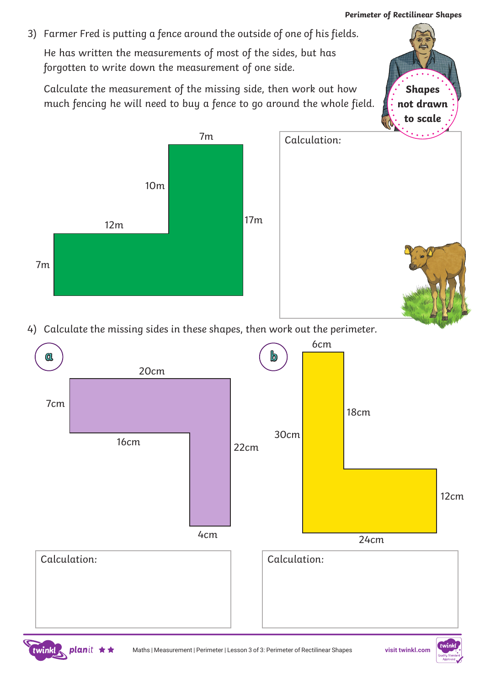*Shapes not drawn* 

*3) Farmer Fred is putting a fence around the outside of one of his fields. He has written the measurements of most of the sides, but has forgotten to write down the measurement of one side.* 

*Calculate the measurement of the missing side, then work out how much fencing he will need to buy a fence to go around the whole field.*



*4) Calculate the missing sides in these shapes, then work out the perimeter.*



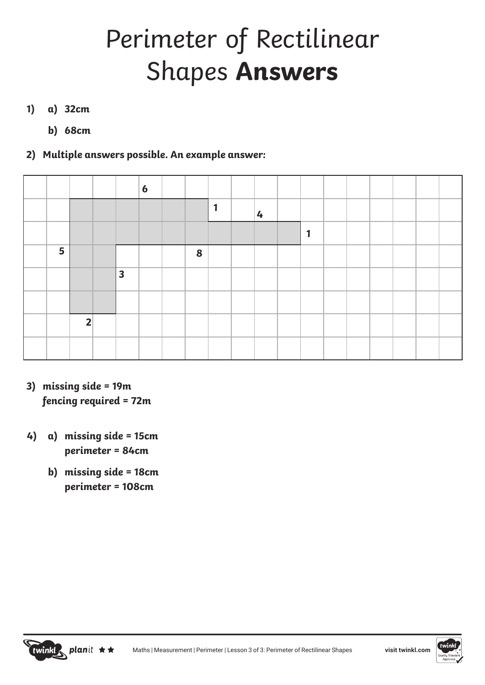## *Perimeter of Rectilinear Shapes Answers*

#### *a) 32cm 1)*

*b) 68cm* 

### *2) Multiple answers possible. An example answer:*

|   |                |                         | $\boldsymbol{6}$ |   |   |   |   |  |  |  |
|---|----------------|-------------------------|------------------|---|---|---|---|--|--|--|
|   |                |                         |                  |   | 1 | 4 |   |  |  |  |
|   |                |                         |                  |   |   |   | d |  |  |  |
| 5 |                |                         |                  | 8 |   |   |   |  |  |  |
|   |                | $\overline{\mathbf{3}}$ |                  |   |   |   |   |  |  |  |
|   |                |                         |                  |   |   |   |   |  |  |  |
|   | $\overline{2}$ |                         |                  |   |   |   |   |  |  |  |
|   |                |                         |                  |   |   |   |   |  |  |  |

- *3) missing side = 19m fencing required = 72m*
- *4) a) missing side = 15cm perimeter = 84cm*
	- *b) missing side = 18cm perimeter = 108cm*



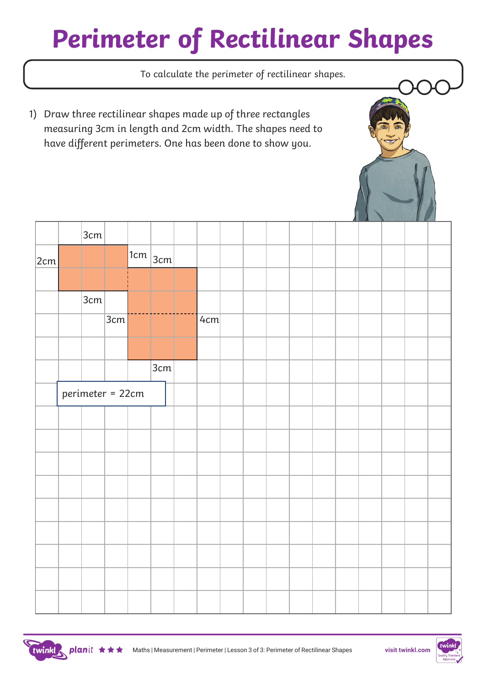# *Perimeter of Rectilinear Shapes*





twinkl, planit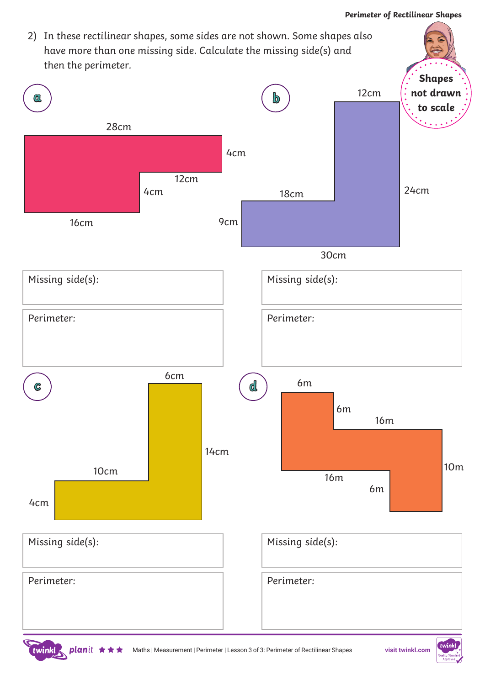

twinkl R

planit  $\star$